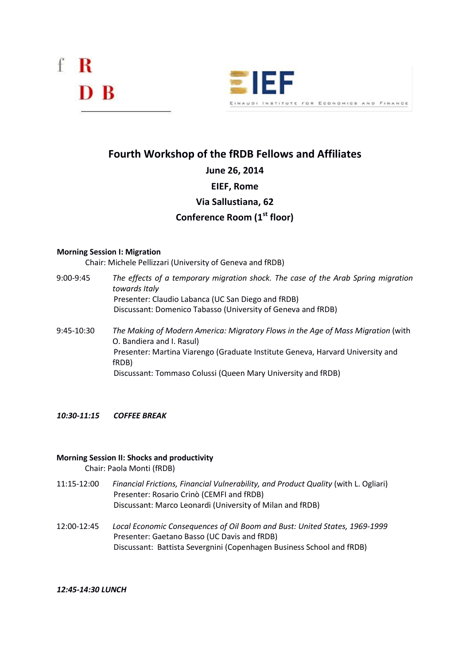



# **Fourth Workshop of the fRDB Fellows and Affiliates June 26, 2014 EIEF, Rome Via Sallustiana, 62 Conference Room (1st floor)**

## **Morning Session I: Migration**

Chair: Michele Pellizzari (University of Geneva and fRDB)

- 9:00-9:45 *The effects of a temporary migration shock. The case of the Arab Spring migration towards Italy* Presenter: Claudio Labanca (UC San Diego and fRDB) Discussant: Domenico Tabasso (University of Geneva and fRDB)
- 9:45-10:30 *The Making of Modern America: Migratory Flows in the Age of Mass Migration* (with O. Bandiera and I. Rasul) Presenter: Martina Viarengo (Graduate Institute Geneva, Harvard University and fRDB) Discussant: Tommaso Colussi (Queen Mary University and fRDB)

#### *10:30-11:15 COFFEE BREAK*

### **Morning Session II: Shocks and productivity**

Chair: Paola Monti (fRDB)

- 11:15-12:00 *Financial Frictions, Financial Vulnerability, and Product Quality* (with L. Ogliari) Presenter: Rosario Crinò (CEMFI and fRDB) Discussant: Marco Leonardi (University of Milan and fRDB)
- 12:00-12:45 *Local Economic Consequences of Oil Boom and Bust: United States, 1969-1999* Presenter: Gaetano Basso (UC Davis and fRDB) Discussant: Battista Severgnini (Copenhagen Business School and fRDB)

#### *12:45-14:30 LUNCH*